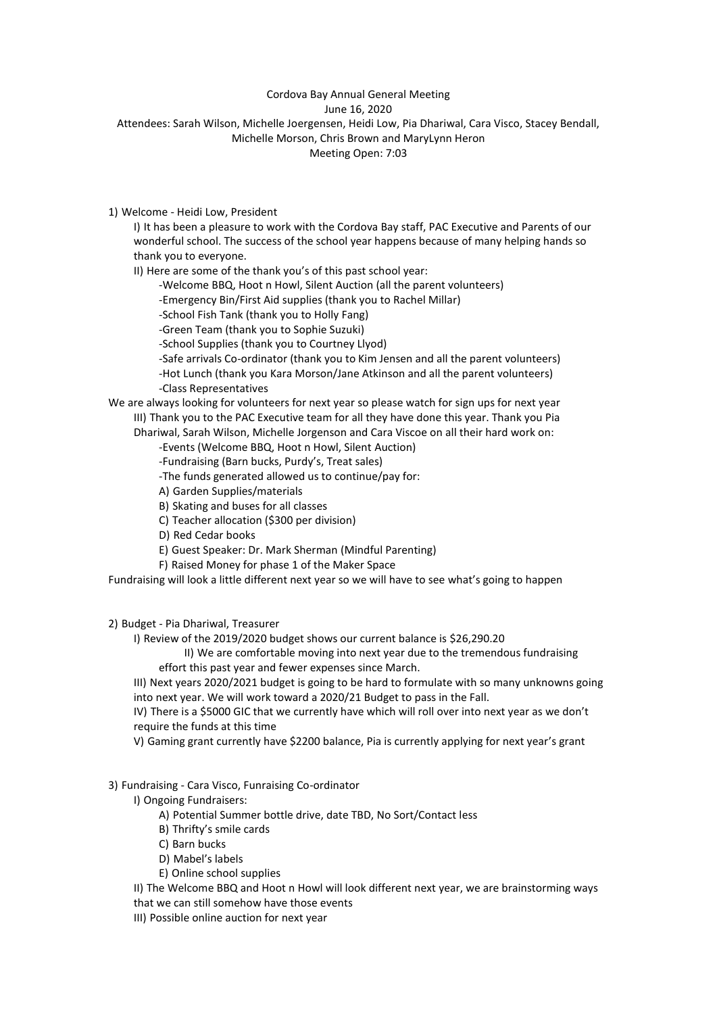## Cordova Bay Annual General Meeting

June 16, 2020

Attendees: Sarah Wilson, Michelle Joergensen, Heidi Low, Pia Dhariwal, Cara Visco, Stacey Bendall, Michelle Morson, Chris Brown and MaryLynn Heron

Meeting Open: 7:03

1) Welcome - Heidi Low, President

I) It has been a pleasure to work with the Cordova Bay staff, PAC Executive and Parents of our wonderful school. The success of the school year happens because of many helping hands so thank you to everyone.

II) Here are some of the thank you's of this past school year:

-Welcome BBQ, Hoot n Howl, Silent Auction (all the parent volunteers)

-Emergency Bin/First Aid supplies (thank you to Rachel Millar)

-School Fish Tank (thank you to Holly Fang)

-Green Team (thank you to Sophie Suzuki)

-School Supplies (thank you to Courtney Llyod)

-Safe arrivals Co-ordinator (thank you to Kim Jensen and all the parent volunteers) -Hot Lunch (thank you Kara Morson/Jane Atkinson and all the parent volunteers)

-Class Representatives

We are always looking for volunteers for next year so please watch for sign ups for next year III) Thank you to the PAC Executive team for all they have done this year. Thank you Pia Dhariwal, Sarah Wilson, Michelle Jorgenson and Cara Viscoe on all their hard work on:

-Events (Welcome BBQ, Hoot n Howl, Silent Auction)

-Fundraising (Barn bucks, Purdy's, Treat sales)

-The funds generated allowed us to continue/pay for:

A) Garden Supplies/materials

B) Skating and buses for all classes

C) Teacher allocation (\$300 per division)

D) Red Cedar books

E) Guest Speaker: Dr. Mark Sherman (Mindful Parenting)

F) Raised Money for phase 1 of the Maker Space

Fundraising will look a little different next year so we will have to see what's going to happen

2) Budget - Pia Dhariwal, Treasurer

I) Review of the 2019/2020 budget shows our current balance is \$26,290.20

II) We are comfortable moving into next year due to the tremendous fundraising effort this past year and fewer expenses since March.

III) Next years 2020/2021 budget is going to be hard to formulate with so many unknowns going into next year. We will work toward a 2020/21 Budget to pass in the Fall.

IV) There is a \$5000 GIC that we currently have which will roll over into next year as we don't require the funds at this time

V) Gaming grant currently have \$2200 balance, Pia is currently applying for next year's grant

# 3) Fundraising - Cara Visco, Funraising Co-ordinator

I) Ongoing Fundraisers:

A) Potential Summer bottle drive, date TBD, No Sort/Contact less

B) Thrifty's smile cards

C) Barn bucks

D) Mabel's labels

E) Online school supplies

II) The Welcome BBQ and Hoot n Howl will look different next year, we are brainstorming ways that we can still somehow have those events

III) Possible online auction for next year